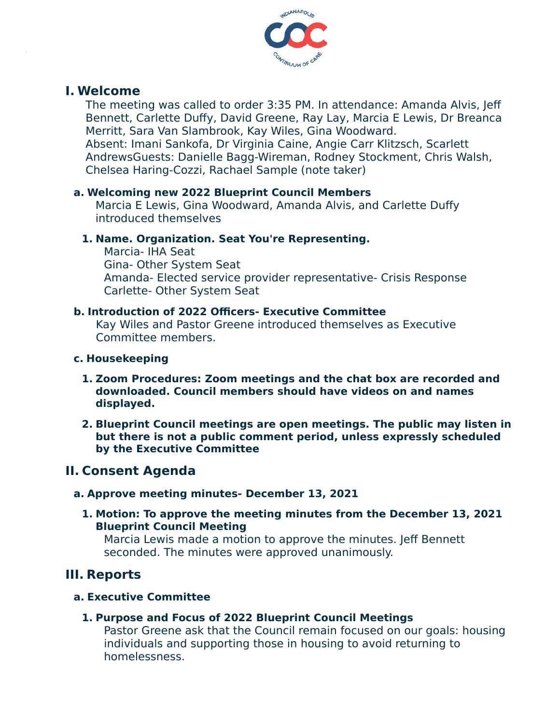

## **I. Welcome**

The meeting was called to order 3:35 PM. In attendance: Amanda Alvis, Jeff Bennett, Carlette Duffy, David Greene, Ray Lay, Marcia E Lewis, Dr Breanca Merritt, Sara Van Slambrook, Kay Wiles, Gina Woodward. Absent: Imani Sankofa, Dr Virginia Caine, Angie Carr Klitzsch, Scarlett AndrewsGuests: Danielle Bagg-Wireman, Rodney Stockment, Chris Walsh, Chelsea Haring-Cozzi, Rachael Sample (note taker)

## **a. Welcoming new 2022 Blueprint Council Members**

Marcia E Lewis, Gina Woodward, Amanda Alvis, and Carlette Duffy introduced themselves

## **1. Name. Organization. Seat You're Representing.**

Marcia- IHA Seat Gina- Other System Seat Amanda- Elected service provider representative- Crisis Response Carlette- Other System Seat

## **b. Introduction of 2022 Officers- Executive Committee**

Kay Wiles and Pastor Greene introduced themselves as Executive Committee members.

### **c. Housekeeping**

- **1. Zoom Procedures: Zoom meetings and the chat box are recorded and downloaded. Council members should have videos on and names displayed.**
- **2. Blueprint Council meetings are open meetings. The public may listen in but there is not a public comment period, unless expressly scheduled by the Executive Committee**

# **II. Consent Agenda**

### **a. Approve meeting minutes- December 13, 2021**

**1. Motion: To approve the meeting minutes from the December 13, 2021 Blueprint Council Meeting**

Marcia Lewis made a motion to approve the minutes. Jeff Bennett seconded. The minutes were approved unanimously.

# **III. Reports**

### **a. Executive Committee**

### **1. Purpose and Focus of 2022 Blueprint Council Meetings**

Pastor Greene ask that the Council remain focused on our goals: housing individuals and supporting those in housing to avoid returning to homelessness.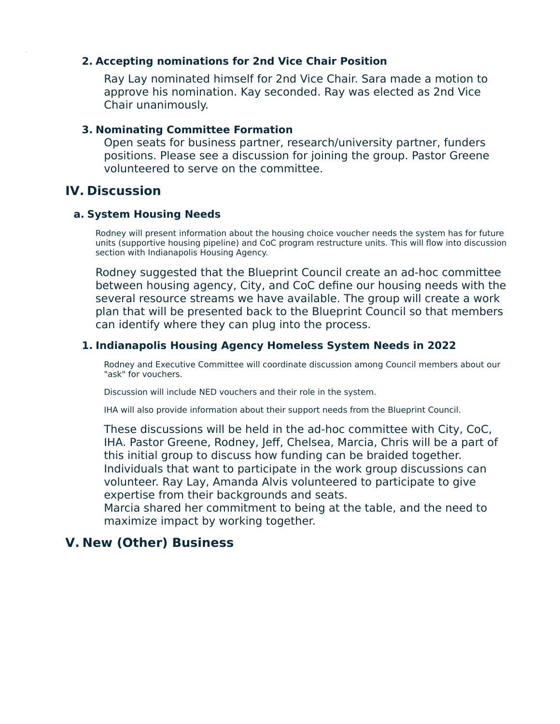#### **2. Accepting nominations for 2nd Vice Chair Position**

Ray Lay nominated himself for 2nd Vice Chair. Sara made a motion to approve his nomination. Kay seconded. Ray was elected as 2nd Vice Chair unanimously.

#### **3. Nominating Committee Formation**

Open seats for business partner, research/university partner, funders positions. Please see a discussion for joining the group. Pastor Greene volunteered to serve on the committee.

# **IV. Discussion**

#### **a. System Housing Needs**

Rodney will present information about the housing choice voucher needs the system has for future units (supportive housing pipeline) and CoC program restructure units. This will flow into discussion section with Indianapolis Housing Agency.

Rodney suggested that the Blueprint Council create an ad-hoc committee between housing agency, City, and CoC define our housing needs with the several resource streams we have available. The group will create a work plan that will be presented back to the Blueprint Council so that members can identify where they can plug into the process.

### **1. Indianapolis Housing Agency Homeless System Needs in 2022**

Rodney and Executive Committee will coordinate discussion among Council members about our "ask" for vouchers.

Discussion will include NED vouchers and their role in the system.

IHA will also provide information about their support needs from the Blueprint Council.

These discussions will be held in the ad-hoc committee with City, CoC, IHA. Pastor Greene, Rodney, Jeff, Chelsea, Marcia, Chris will be a part of this initial group to discuss how funding can be braided together. Individuals that want to participate in the work group discussions can volunteer. Ray Lay, Amanda Alvis volunteered to participate to give expertise from their backgrounds and seats.

Marcia shared her commitment to being at the table, and the need to maximize impact by working together.

# **V. New (Other) Business**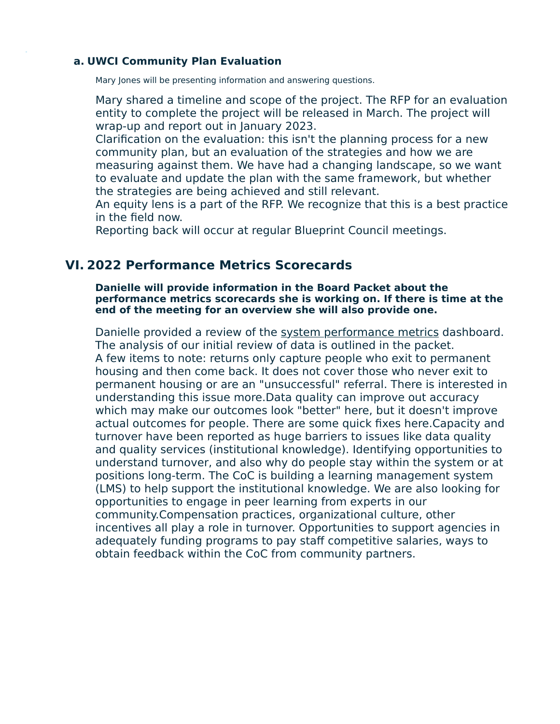#### **a. UWCI Community Plan Evaluation**

Mary Jones will be presenting information and answering questions.

Mary shared a timeline and scope of the project. The RFP for an evaluation entity to complete the project will be released in March. The project will wrap-up and report out in January 2023.

Clarification on the evaluation: this isn't the planning process for a new community plan, but an evaluation of the strategies and how we are measuring against them. We have had a changing landscape, so we want to evaluate and update the plan with the same framework, but whether the strategies are being achieved and still relevant.

An equity lens is a part of the RFP. We recognize that this is a best practice in the field now.

Reporting back will occur at regular Blueprint Council meetings.

## **VI. 2022 Performance Metrics Scorecards**

**Danielle will provide information in the Board Packet about the performance metrics scorecards she is working on. If there is time at the end of the meeting for an overview she will also provide one.**

Danielle provided a review of the [system performance metrics](https://public.tableau.com/shared/7DYHMDNZ8?:display_count=n&:origin=viz_share_link) dashboard. The analysis of our initial review of data is outlined in the packet. A few items to note: returns only capture people who exit to permanent housing and then come back. It does not cover those who never exit to permanent housing or are an "unsuccessful" referral. There is interested in understanding this issue more.Data quality can improve out accuracy which may make our outcomes look "better" here, but it doesn't improve actual outcomes for people. There are some quick fixes here.Capacity and turnover have been reported as huge barriers to issues like data quality and quality services (institutional knowledge). Identifying opportunities to understand turnover, and also why do people stay within the system or at positions long-term. The CoC is building a learning management system (LMS) to help support the institutional knowledge. We are also looking for opportunities to engage in peer learning from experts in our community.Compensation practices, organizational culture, other incentives all play a role in turnover. Opportunities to support agencies in adequately funding programs to pay staff competitive salaries, ways to obtain feedback within the CoC from community partners.